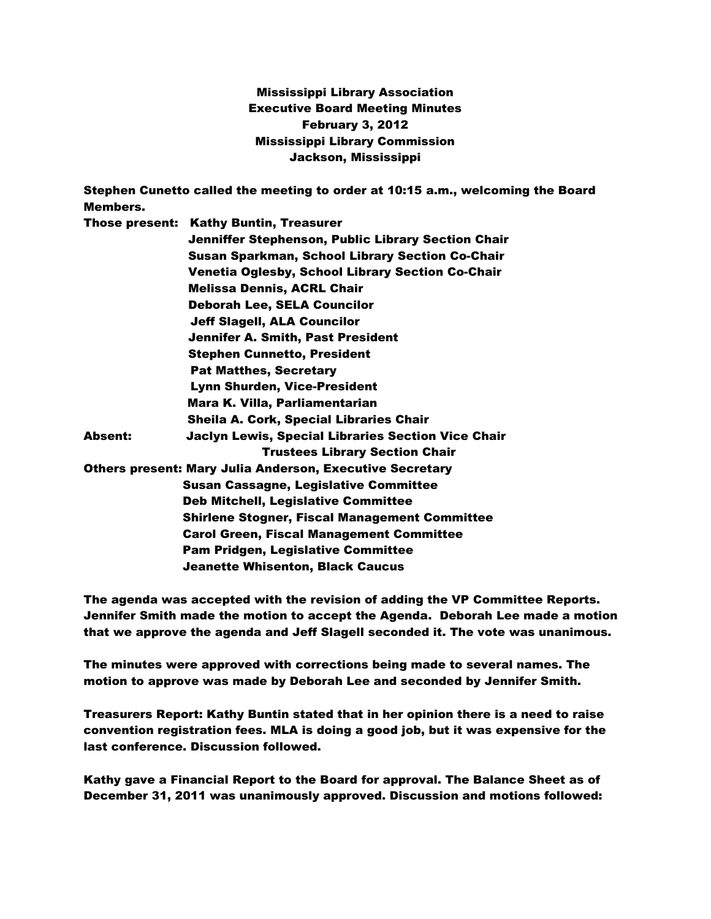## Mississippi Library Association Executive Board Meeting Minutes February 3, 2012 Mississippi Library Commission Jackson, Mississippi

|                                                          | Stephen Cunetto called the meeting to order at 10:15 a.m., welcoming the Board |
|----------------------------------------------------------|--------------------------------------------------------------------------------|
| Members.                                                 |                                                                                |
|                                                          | <b>Those present: Kathy Buntin, Treasurer</b>                                  |
|                                                          | Jenniffer Stephenson, Public Library Section Chair                             |
|                                                          | <b>Susan Sparkman, School Library Section Co-Chair</b>                         |
|                                                          | Venetia Oglesby, School Library Section Co-Chair                               |
|                                                          | <b>Melissa Dennis, ACRL Chair</b>                                              |
|                                                          | <b>Deborah Lee, SELA Councilor</b>                                             |
|                                                          | <b>Jeff Slagell, ALA Councilor</b>                                             |
|                                                          | <b>Jennifer A. Smith, Past President</b>                                       |
|                                                          | <b>Stephen Cunnetto, President</b>                                             |
|                                                          | <b>Pat Matthes, Secretary</b>                                                  |
|                                                          | <b>Lynn Shurden, Vice-President</b>                                            |
|                                                          | Mara K. Villa, Parliamentarian                                                 |
|                                                          | Sheila A. Cork, Special Libraries Chair                                        |
| Absent:                                                  | Jaclyn Lewis, Special Libraries Section Vice Chair                             |
|                                                          | <b>Trustees Library Section Chair</b>                                          |
| Others present: Mary Julia Anderson, Executive Secretary |                                                                                |
|                                                          | <b>Susan Cassagne, Legislative Committee</b>                                   |
|                                                          | <b>Deb Mitchell, Legislative Committee</b>                                     |
|                                                          | <b>Shirlene Stogner, Fiscal Management Committee</b>                           |
|                                                          | <b>Carol Green, Fiscal Management Committee</b>                                |
|                                                          | <b>Pam Pridgen, Legislative Committee</b>                                      |
|                                                          | <b>Jeanette Whisenton, Black Caucus</b>                                        |
|                                                          |                                                                                |

The agenda was accepted with the revision of adding the VP Committee Reports. Jennifer Smith made the motion to accept the Agenda. Deborah Lee made a motion that we approve the agenda and Jeff Slagell seconded it. The vote was unanimous.

The minutes were approved with corrections being made to several names. The motion to approve was made by Deborah Lee and seconded by Jennifer Smith.

Treasurers Report: Kathy Buntin stated that in her opinion there is a need to raise convention registration fees. MLA is doing a good job, but it was expensive for the last conference. Discussion followed.

Kathy gave a Financial Report to the Board for approval. The Balance Sheet as of December 31, 2011 was unanimously approved. Discussion and motions followed: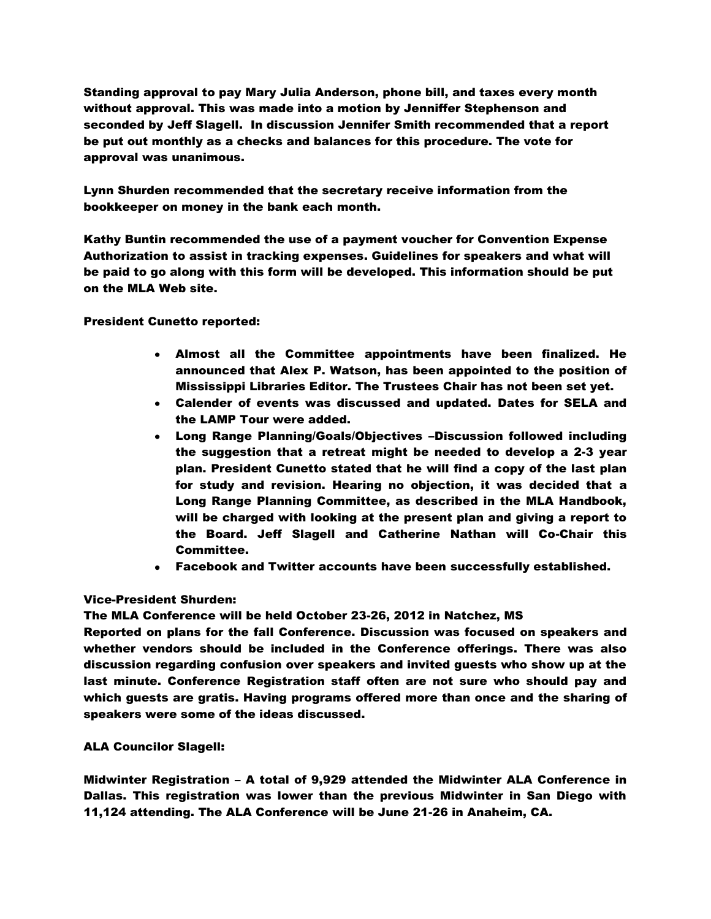Standing approval to pay Mary Julia Anderson, phone bill, and taxes every month without approval. This was made into a motion by Jenniffer Stephenson and seconded by Jeff Slagell. In discussion Jennifer Smith recommended that a report be put out monthly as a checks and balances for this procedure. The vote for approval was unanimous.

Lynn Shurden recommended that the secretary receive information from the bookkeeper on money in the bank each month.

Kathy Buntin recommended the use of a payment voucher for Convention Expense Authorization to assist in tracking expenses. Guidelines for speakers and what will be paid to go along with this form will be developed. This information should be put on the MLA Web site.

President Cunetto reported:

- Almost all the Committee appointments have been finalized. He announced that Alex P. Watson, has been appointed to the position of Mississippi Libraries Editor. The Trustees Chair has not been set yet.
- Calender of events was discussed and updated. Dates for SELA and the LAMP Tour were added.
- Long Range Planning/Goals/Objectives –Discussion followed including the suggestion that a retreat might be needed to develop a 2-3 year plan. President Cunetto stated that he will find a copy of the last plan for study and revision. Hearing no objection, it was decided that a Long Range Planning Committee, as described in the MLA Handbook, will be charged with looking at the present plan and giving a report to the Board. Jeff Slagell and Catherine Nathan will Co-Chair this Committee.
- Facebook and Twitter accounts have been successfully established.

## Vice-President Shurden:

The MLA Conference will be held October 23-26, 2012 in Natchez, MS

Reported on plans for the fall Conference. Discussion was focused on speakers and whether vendors should be included in the Conference offerings. There was also discussion regarding confusion over speakers and invited guests who show up at the last minute. Conference Registration staff often are not sure who should pay and which guests are gratis. Having programs offered more than once and the sharing of speakers were some of the ideas discussed.

## ALA Councilor Slagell:

Midwinter Registration – A total of 9,929 attended the Midwinter ALA Conference in Dallas. This registration was lower than the previous Midwinter in San Diego with 11,124 attending. The ALA Conference will be June 21-26 in Anaheim, CA.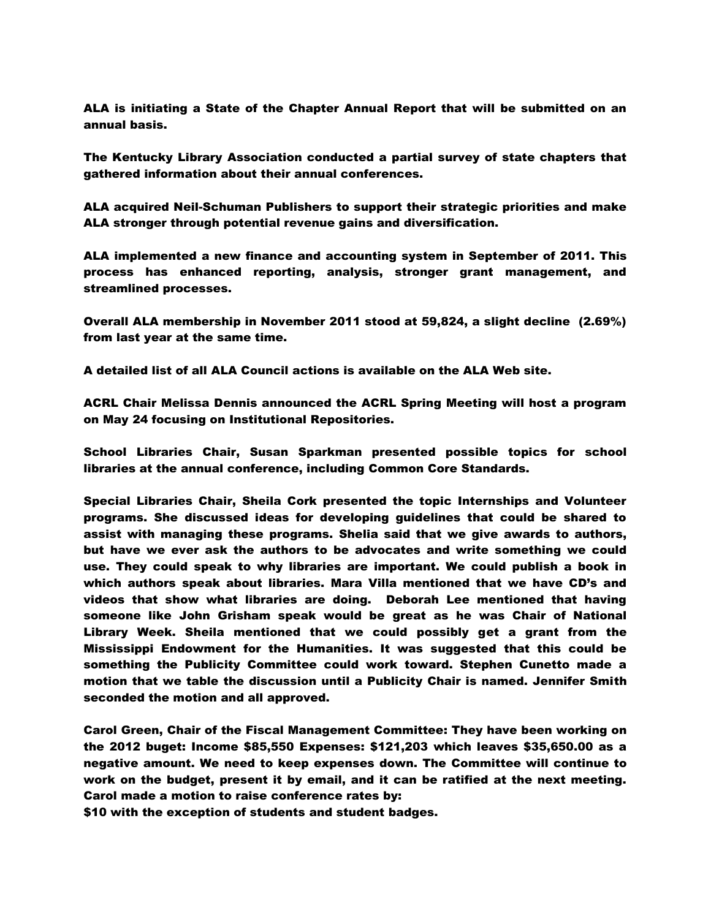ALA is initiating a State of the Chapter Annual Report that will be submitted on an annual basis.

The Kentucky Library Association conducted a partial survey of state chapters that gathered information about their annual conferences.

ALA acquired Neil-Schuman Publishers to support their strategic priorities and make ALA stronger through potential revenue gains and diversification.

ALA implemented a new finance and accounting system in September of 2011. This process has enhanced reporting, analysis, stronger grant management, and streamlined processes.

Overall ALA membership in November 2011 stood at 59,824, a slight decline (2.69%) from last year at the same time.

A detailed list of all ALA Council actions is available on the ALA Web site.

ACRL Chair Melissa Dennis announced the ACRL Spring Meeting will host a program on May 24 focusing on Institutional Repositories.

School Libraries Chair, Susan Sparkman presented possible topics for school libraries at the annual conference, including Common Core Standards.

Special Libraries Chair, Sheila Cork presented the topic Internships and Volunteer programs. She discussed ideas for developing guidelines that could be shared to assist with managing these programs. Shelia said that we give awards to authors, but have we ever ask the authors to be advocates and write something we could use. They could speak to why libraries are important. We could publish a book in which authors speak about libraries. Mara Villa mentioned that we have CD's and videos that show what libraries are doing. Deborah Lee mentioned that having someone like John Grisham speak would be great as he was Chair of National Library Week. Sheila mentioned that we could possibly get a grant from the Mississippi Endowment for the Humanities. It was suggested that this could be something the Publicity Committee could work toward. Stephen Cunetto made a motion that we table the discussion until a Publicity Chair is named. Jennifer Smith seconded the motion and all approved.

Carol Green, Chair of the Fiscal Management Committee: They have been working on the 2012 buget: Income \$85,550 Expenses: \$121,203 which leaves \$35,650.00 as a negative amount. We need to keep expenses down. The Committee will continue to work on the budget, present it by email, and it can be ratified at the next meeting. Carol made a motion to raise conference rates by:

\$10 with the exception of students and student badges.